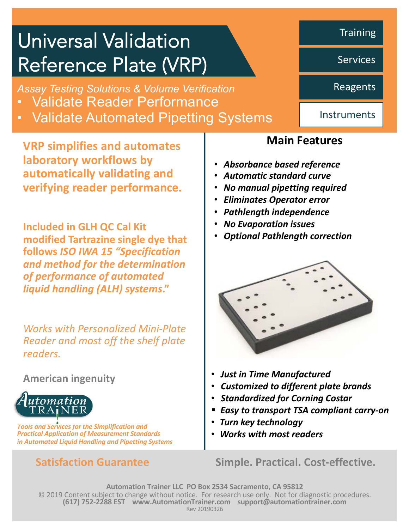# Universal Validation Reference Plate (VRP)

*Assay Testing Solutions & Volume Verification*

- Validate Reader Performance
- Validate Automated Pipetting Systems

**VRP simplifies and automates laboratory workflows by automatically validating and verifying reader performance.**

**Included in GLH QC Cal Kit modified Tartrazine single dye that follows** *ISO IWA 15 "Specification and method for the determination of performance of automated liquid handling (ALH) systems***."**

*Works with Personalized Mini-Plate Reader and most off the shelf plate readers.* 

**American ingenuity**



*Tools and Services for the Simplification and Practical Application of Measurement Standards in Automated Liquid Handling and Pipetting Systems*

## **Main Features**

- *Absorbance based reference*
- *Automatic standard curve*
- *No manual pipetting required*
- *Eliminates Operator error*
- *Pathlength independence*
- *No Evaporation issues*
- *Optional Pathlength correction*



- *Just in Time Manufactured*
- *Customized to different plate brands*
- *Standardized for Corning Costar*
- § *Easy to transport TSA compliant carry-on*
- *Turn key technology*
- *Works with most readers*

**Satisfaction Guarantee Simple. Practical. Cost-effective.** 

**Automation Trainer LLC PO Box 2534 Sacramento, CA 95812** © 2019 Content subject to change without notice. For research use only. Not for diagnostic procedures. **(617) 752-2288 EST www.AutomationTrainer.com support@automationtrainer.com** Rev 20190326

**Training** 

Services

Reagents

**Instruments**